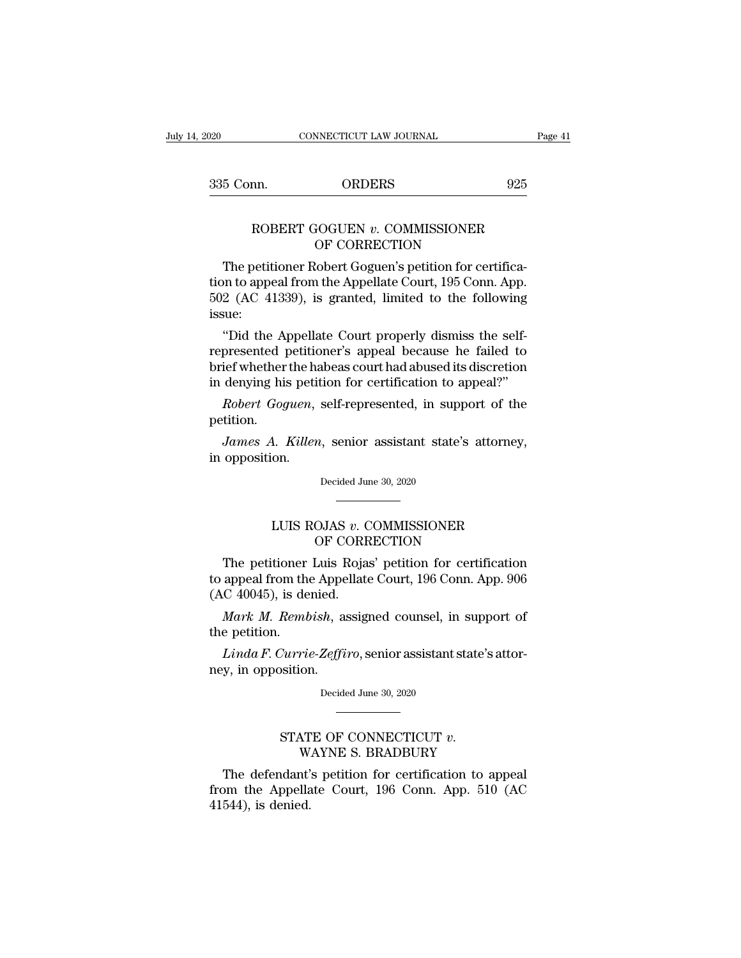20 CONNECTICUT LAW JOURNAL Page 41<br>335 Conn. ORDERS 925

## EXECUTE CONNECTICUT LAW JOURNAL Page 4<br>
ROBERT GOGUEN *v*. COMMISSIONER<br>
OF CORRECTION ORDERS<br>
SOGUEN v. COMMISSIONER<br>
OF CORRECTION<br>
Mobert Goguen's petition for certification

5 Conn. ORDERS 925<br>
ROBERT GOGUEN v. COMMISSIONER<br>
OF CORRECTION<br>
The petitioner Robert Goguen's petition for certifica-<br>
on to appeal from the Appellate Court, 195 Conn. App. tion to appeal from the Appellate Court, 195 Conn. App. FOBERT GOGUEN  $v$ . COMMISSIONER<br>OF CORRECTION<br>The petitioner Robert Goguen's petition for certifica-<br>tion to appeal from the Appellate Court, 195 Conn. App.<br>502 (AC 41339), is granted, limited to the following<br>issue: issue: OF CORRECTION<br>
The petitioner Robert Goguen's petition for certifica-<br>
on to appeal from the Appellate Court, 195 Conn. App.<br>
2 (AC 41339), is granted, limited to the following<br>
sue:<br>
"Did the Appellate Court properly dism The petitioner Robert Goguen's petition for certification to appeal from the Appellate Court, 195 Conn. App.<br>502 (AC 41339), is granted, limited to the following<br>issue:<br>"Did the Appellate Court properly dismiss the self-<br>r

The petitioner Robert Goguen's petition for certification to appeal from the Appellate Court, 195 Conn. App.<br>502 (AC 41339), is granted, limited to the following<br>issue:<br>"Did the Appellate Court properly dismiss the self-<br>r from to appear from the Appenate Court, 195 Conn. App.<br>502 (AC 41339), is granted, limited to the following<br>issue:<br>"Did the Appellate Court properly dismiss the self-<br>represented petitioner's appeal because he failed to<br>br <sup>2</sup><br> *Robert Goguen,* self-presented petitioner's appeal because he failed to<br> *Robert Goguen,* self-represented, in support of the<br> *Robert Goguen,* self-represented, in support of the<br> *Robert Goguen,* self-represented, presented petitioner's appeal because he failed to<br>ief whether the habeas court had abused its discretion<br>denying his petition for certification to appeal?"<br>*Robert Goguen*, self-represented, in support of the<br>tition.<br>Jame brief whether the hasten in denying his petition.<br> *Robert Goguen*,<br>
petition.<br> *James A. Killen*<br>
in opposition.

petition. Robert Goguen, self-represented, in support of the etition.<br>James A. Killen, senior assistant state's attorney, opposition.<br>Decided June 30, 2020

EXECUTE: A Killen, senior assistant state's attorney,<br>
Decided June 30, 2020<br>
Decided June 30, 2020<br>
LUIS ROJAS *v*. COMMISSIONER<br>
OF CORRECTION m, senior assistant state's attorney<br>Decided June 30, 2020<br>OJAS v. COMMISSIONER<br>OF CORRECTION<br>Luis Rojas' petition for certificat

Decided June 30, 2020<br>
NET DECITED DEVIDED TO BE DETERMINED OF CORRECTION<br>
The petitioner Luis Rojas' petition for certification<br>
appeal from the Appellate Court, 196 Conn. App. 906<br>
C 40045) is donied Decided June 30, 2020<br>
LUIS ROJAS v. COMMISSIONER<br>
OF CORRECTION<br>
The petitioner Luis Rojas' petition for certification<br>
to appeal from the Appellate Court, 196 Conn. App. 906<br>
(AC 40045), is denied. LUIS ROJAS v. C<br>OF CORF<br>The petitioner Luis Roja<br>to appeal from the Appellate<br>(AC 40045), is denied.<br>*Mark M. Rembish*, assig LUIS ROJAS *v*. COMMISSIONER<br>
OF CORRECTION<br>
The petitioner Luis Rojas' petition for certification<br>
appeal from the Appellate Court, 196 Conn. App. 906<br>
C 40045), is denied.<br> *Mark M. Rembish*, assigned counsel, in support The petitioner<br>to appeal from the<br>(AC 40045), is de<br>*Mark M. Remb*<br>the petition.<br>*Linda F. Curri*c The petitioner Luis Rojas' petition for certification<br>appeal from the Appellate Court, 196 Conn. App. 906<br>*C* 40045), is denied.<br>*Mark M. Rembish*, assigned counsel, in support of<br>e petition.<br>*Linda F. Currie-Zeffiro*, sen to appeal from the Appe<br>(AC 40045), is denied.<br>*Mark M. Rembish*, as<br>the petition.<br>*Linda F. Currie-Zeffi*<br>ney, in opposition.

Exercises, the Median Counsel, the Median Section of the 30, 2020 Varrie-Zeffiro, senior assistant state's atto<br>
sition.<br>
Decided June 30, 2020<br>
STATE OF CONNECTICUT *v*.<br>
WAYNE S. BRADBURY<br>
dant's petition for certification to appe

Decided June 30, 2020<br>
Decided June 30, 2020<br>
The defendant's petition for certification to appeal<br>
Den the Appellate Court, 196 Conn. App. 510 (AC<br>
F44) is donied Decided June 30, 2020<br>
THATE OF CONNECTICUT v.<br>
WAYNE S. BRADBURY<br>
The defendant's petition for certification to appeal<br>
from the Appellate Court, 196 Conn. App. 510 (AC<br>
41544), is denied. STAT<br>W.<br>The defendant'<br>from the Appella<br>41544), is denied.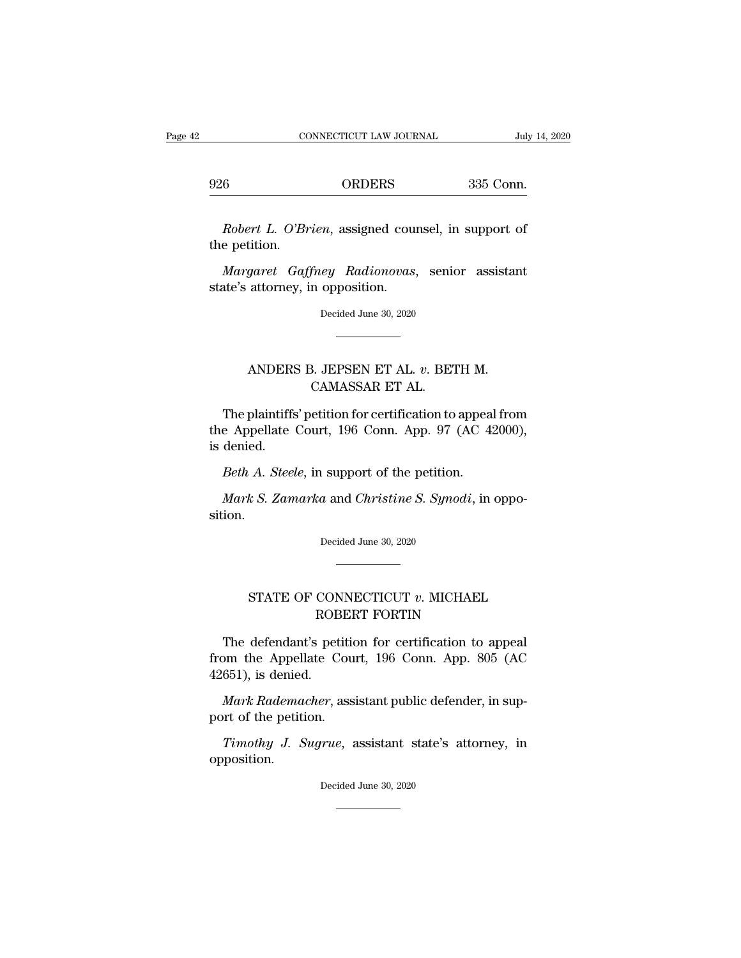<sup>926</sup> ORDERS 335 Conn.

*CONNECTICUT LAW JOURNAL* July 14, 2020<br> *Robert L. O'Brien*, assigned counsel, in support of<br> *Robert L. O'Brien*, assigned counsel, in support of<br> *Robert L. O'Brien*, assigned counsel, in support of 926<br>Robert L. O'Br<br>the petition.<br>Margaret Gaf. *Margaret Gaffney Radionovas*, senior assistant STRING<br>
STRING<br>
Robert L. O'Brien, assigned cour<br>
the petition.<br>
Margaret Gaffney Radionovas,<br>
state's attorney, in opposition.<br>
Decided June 30, 2020

Margaret Gaffney Radionovas, senior assistant state's attorney, in opposition.<br>Decided June 30, 2020

## garet Gaffney Radionovas, senior assistar<br>attorney, in opposition.<br>Decided June 30, 2020<br>ANDERS B. JEPSEN ET AL. *v*. BETH M.<br>CAMASSAR ET AL. n opposition.<br>Decided June 30, 2020<br>**CAMASSAR ET AL.**  $v$ **. BET<br>CAMASSAR ET AL.**<br>etition for certification to

The plaintiffs' petition for certification to appeal from<br>
e Appellate Court, 196 Conn. App. 97 (AC 42000),<br>
denied ANDERS B. JEPSEN ET AL. v. BETH M.<br>CAMASSAR ET AL.<br>The plaintiffs' petition for certification to appeal from<br>the Appellate Court, 196 Conn. App. 97 (AC 42000),<br>is denied. ANDER:<br>The plaintiffs<br>the Appellate<br>is denied.<br>*Beth A. Steel Beth A. Steele, in support of the petition to appear*<br>*Beth A. Steele, in support of the petition to appear*<br>*Beth A. Steele, in support of the petition.*<br>*Mark S. Zamarka and Christine S. Synodi, in* The plaintiffs' petition for certification to appeal from<br> *e* Appellate Court, 196 Conn. App. 97 (AC 42000),<br> *denied.*<br> *Mark S. Zamarka* and *Christine S. Synodi*, in oppo-<br> *Mark S. Zamarka* and *Christine S. Synodi*,

sition. Equal to the petition<br>a and *Christine S. Syno*<br>Decided June 30, 2020 K S. Zamarka and Christine S. Synoai, in oppo-<br>Decided June 30, 2020<br>STATE OF CONNECTICUT *v*. MICHAEL<br>ROBERT FORTIN

# ROBERT FORTIN

STATE OF CONNECTICUT *v*. MICHAEL<br>ROBERT FORTIN<br>The defendant's petition for certification to appeal<br>pm the Appellate Court, 196 Conn. App. 805 (AC  $\begin{minipage}{0.9\linewidth} \begin{tabular}{ll} \multicolumn{2}{l}{{\bf STATE OF CONNECTICUT $v$. MICHAEL} \multicolumn{2}{l}{ROBERT FORTIN} \end{tabular} \end{minipage} \begin{minipage}{0.9\linewidth} \begin{tabular}{ll} \multicolumn{2}{l}{{\bf The defendant's~pettion for certification to appeal} \begin{tabular}{l} from the Appellate Court, 196 Conn. App. 805 (AC 42651), is denied. \end{tabular} \end{minipage} \end{minipage}$ STATE OF CON<br>ROB<br>The defendant's pet<br>from the Appellate C<br>42651), is denied.<br>*Mark Rademacher*, a *ROBERT FORTIN*<br>*ROBERT FORTIN*<br>*The defendant's petition for certification to appeal*<br>*Mark Rademacher*, assistant public defender, in sup-<br>*Mark Rademacher*, assistant public defender, in sup-<br>prt of the petition. The defendant's petition<br>from the Appellate Cou<br>42651), is denied.<br>*Mark Rademacher*, ass<br>port of the petition.<br>*Timothy J. Sugrue*, a The detendant s petition for certification to appear<br> *Timothy J. Sugrue*, assistant public defender, in sup-<br> *Timothy J. Sugrue*, assistant state's attorney, in<br>
position.

opposition. port of the petition.<br>
Timothy J. Sugrue, assistant state's attorney, in<br>
opposition.<br>
Decided June 30, 2020